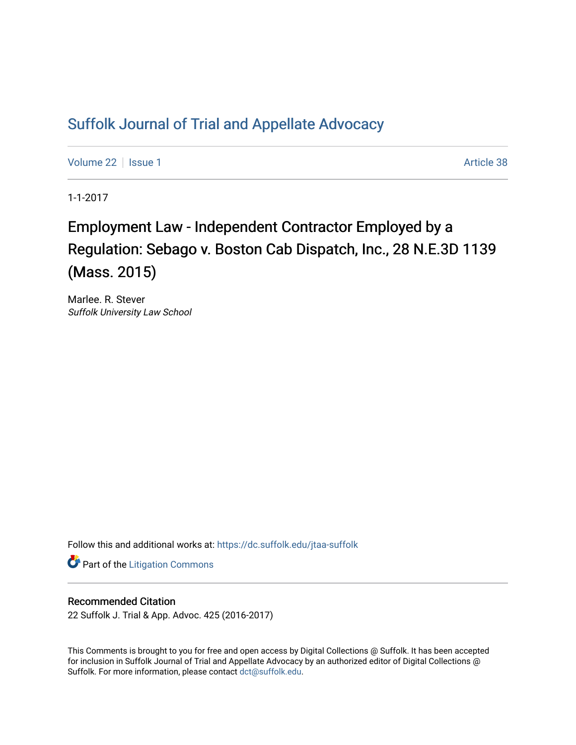## [Suffolk Journal of Trial and Appellate Advocacy](https://dc.suffolk.edu/jtaa-suffolk)

[Volume 22](https://dc.suffolk.edu/jtaa-suffolk/vol22) | [Issue 1](https://dc.suffolk.edu/jtaa-suffolk/vol22/iss1) Article 38

1-1-2017

## Employment Law - Independent Contractor Employed by a Regulation: Sebago v. Boston Cab Dispatch, Inc., 28 N.E.3D 1139 (Mass. 2015)

Marlee. R. Stever Suffolk University Law School

Follow this and additional works at: [https://dc.suffolk.edu/jtaa-suffolk](https://dc.suffolk.edu/jtaa-suffolk?utm_source=dc.suffolk.edu%2Fjtaa-suffolk%2Fvol22%2Fiss1%2F38&utm_medium=PDF&utm_campaign=PDFCoverPages) 

**Part of the [Litigation Commons](https://network.bepress.com/hgg/discipline/910?utm_source=dc.suffolk.edu%2Fjtaa-suffolk%2Fvol22%2Fiss1%2F38&utm_medium=PDF&utm_campaign=PDFCoverPages)** 

## Recommended Citation

22 Suffolk J. Trial & App. Advoc. 425 (2016-2017)

This Comments is brought to you for free and open access by Digital Collections @ Suffolk. It has been accepted for inclusion in Suffolk Journal of Trial and Appellate Advocacy by an authorized editor of Digital Collections @ Suffolk. For more information, please contact [dct@suffolk.edu.](mailto:dct@suffolk.edu)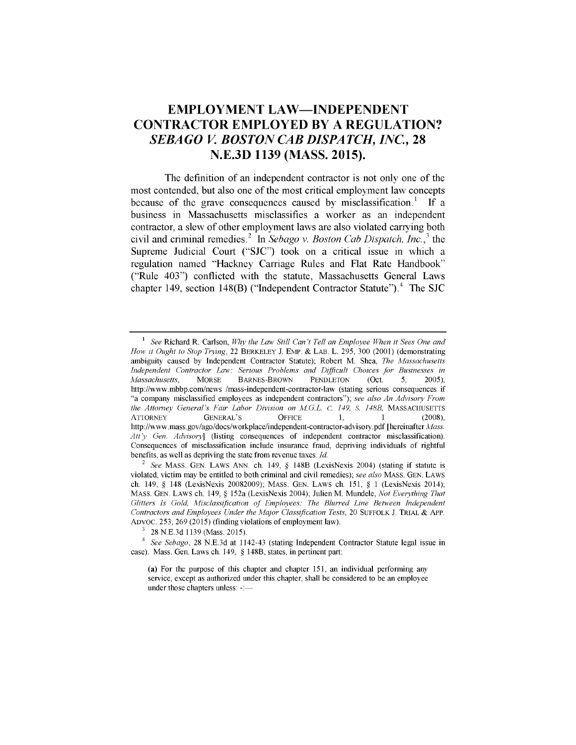## **EMPLOYMENT LAW-INDEPENDENT CONTRACTOR EMPLOYED BY A REGULATION?** *SEBAGO V BOSTON CAB DISPATCH, INC.,* **28 N.E.3D 1139 (MASS. 2015).**

The definition of an independent contractor is not only one of the most contended, but also one of the most critical employment law concepts because of the grave consequences caused **by** misclassification.' **If** a business in Massachusetts misclassifies a worker as an independent contractor, a slew of other employment laws are also violated carrying both civil and criminal remedies. In *Sebago v. Boston Cab Dispatch, Inc.,'* the Supreme Judicial Court **("SJC")** took on a critical issue in which a regulation named "Hackney Carriage Rules and Flat Rate Handbook" ("Rule 403") conflicted with the statute, Massachusetts General Laws chapter 149, section 148(B) ("Independent Contractor Statute").<sup>4</sup> The SJC

**<sup>1</sup>** *See* Richard R. Carlson, *Why the Law Still Can't Tell an Employee When it Sees One and How it Ought to Stop Trying,* 22 BERKELEY J. EMP. & LAB. L. 295, 300 (2001) (demonstrating ambiguity caused by Independent Contractor Statute); Robert M. Shea, *The Massachusetts Independent Contractor Law: Serious Problems and Difficult Choices for Businesses in Massachusetts,* MORSE BARNES-BROWN PENDLETON (Oct. *5,* 2005), http://www.mbbp.com/news /mass-independent-contractor-law (stating serious consequences if "a company misclassified employees as independent contractors"); *see also An Advisory From the Attorney General's Fair Labor Division on M.G.L. C. 149, S. 148B, MASSACHUSETTS* ATTORNEY GENERAL'S OFFICE 1, 1 (2008), http://www.mass.gov/ago/docs/workplace/independent-contractor-advisory.pdf [hereinafter *Mass. Att y Gen. Advisory]* (listing consequences of independent contractor misclassification). Consequences of misclassification include insurance fraud, depriving individuals of rightful benefits, as well as depriving the state from revenue taxes. *Id.*

*<sup>2</sup>See* MASS. GEN. LAWS ANN. ch. 149, § 148B (LexisNexis 2004) (stating if statute is violated, victim may be entitled to both criminal and civil remedies); *see also* MASS. GEN. LAWS ch. 149, § 148 (LexisNexis 20082009); MASS. GEN. LAWS ch. 151, § 1 (LexisNexis 2014); MASS. GEN. LAWS ch. 149, § 152a (LexisNexis 2004); Julien M. Mundele, *Not Everything That Glitters Is Gold, Misclassification of Employees: The Blurred Line Between Independent Contractors and Employees Under the Major Classification Tests,* 20 SUFFOLK J. TRIAL & APP. ADVOC. 253, 269 (2015) (finding violations of employment law).

 $3 \times 28$  N.E.3d 1139 (Mass. 2015).

*<sup>4</sup>See Sebago,* 28 N.E.3d at 1142-43 (stating Independent Contractor Statute legal issue in case). Mass. Gen. Laws ch. 149, § 148B, states, in pertinent part:

<sup>(</sup>a) For the purpose of this chapter and chapter 151, an individual performing any service, except as authorized under this chapter, shall be considered to be an employee under those chapters unless: -:-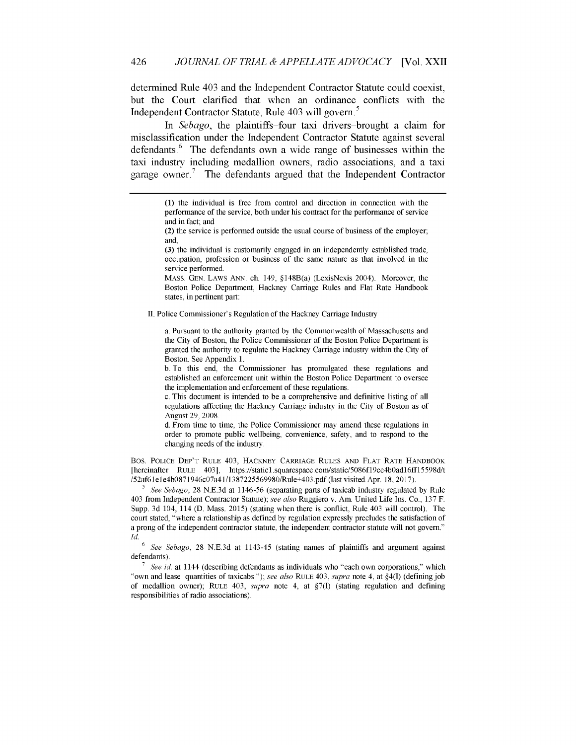determined Rule 403 and the Independent Contractor Statute could coexist, but the Court clarified that when an ordinance conflicts with the Independent Contractor Statute, Rule 403 will govern.<sup>5</sup>

In *Sebago,* the plaintiffs-four taxi drivers-brought a claim for misclassification under the Independent Contractor Statute against several defendants.<sup>6</sup> The defendants own a wide range of businesses within the taxi industry including medallion owners, radio associations, and a taxi garage owner.<sup>7</sup> The defendants argued that the Independent Contractor

(3) the individual is customarily engaged in an independently established trade, occupation, profession or business of the same nature as that involved in the service performed.

MASS. GEN. LAWS ANN. ch. 149, §148B(a) (LexisNexis 2004). Moreover, the Boston Police Department, Hackney Carriage Rules and Flat Rate Handbook states, in pertinent part:

II. Police Commissioner's Regulation of the Hackney Carriage Industry

a. Pursuant to the authority granted by the Commonwealth of Massachusetts and the City of Boston, the Police Commissioner of the Boston Police Department is granted the authority to regulate the Hackney Carriage industry within the City of Boston. See Appendix 1.

b. To this end, the Commissioner has promulgated these regulations and established an enforcement unit within the Boston Police Department to oversee the implementation and enforcement of these regulations.

c. This document is intended to be a comprehensive and definitive listing of all regulations affecting the Hackney Carriage industry in the City of Boston as of August 29, 2008.

d. From time to time, the Police Commissioner may amend these regulations in order to promote public wellbeing, convenience, safety, and to respond to the changing needs of the industry.

Bos. **POLICE DEP'T** RULE 403, **HACKNEY** CARRIAGE **RULES AND** FLAT RATE HANDBOOK [hereinafter RULE 403], https://staticl.squarespace.com/static/5086f19ce4b0adI6ffl 5598d/t /52af61ele4b0871946c07a41/1387225569980/Rule+403.pdf (last visited Apr. 18, 2017).

**<sup>5</sup>***See Sebago,* 28 N.E.3d at 1146-56 (separating parts of taxicab industry regulated by Rule 403 from Independent Contractor Statute); *see also* Ruggiero v. Am. United Life Ins. Co., 137 F. Supp. 3d 104, 114 (D. Mass. 2015) (stating when there is conflict, Rule 403 will control). The court stated, "where a relationship as defined by regulation expressly precludes the satisfaction of a prong of the independent contractor statute, the independent contractor statute will not govern." *Id.*

**<sup>6</sup>***See Sebago,* 28 N.E.3d at 1143-45 (stating names of plaintiffs and argument against defendants).

**<sup>7</sup>***See id* at 1144 (describing defendants as individuals who "each own corporations," which "own and lease quantities of taxicabs **");** see *also* RULE 403, *supra* note 4, at §4(l) (defining **job** of medallion owner); RULE 403, *supra* note 4, at **§7(l)** (stating regulation and defining responsibilities of radio associations).

<sup>(1)</sup> the individual is free from control and direction in connection with the performance of the service, both under his contract for the performance of service and in fact; and

<sup>(2)</sup> the service is performed outside the usual course of business of the employer; and,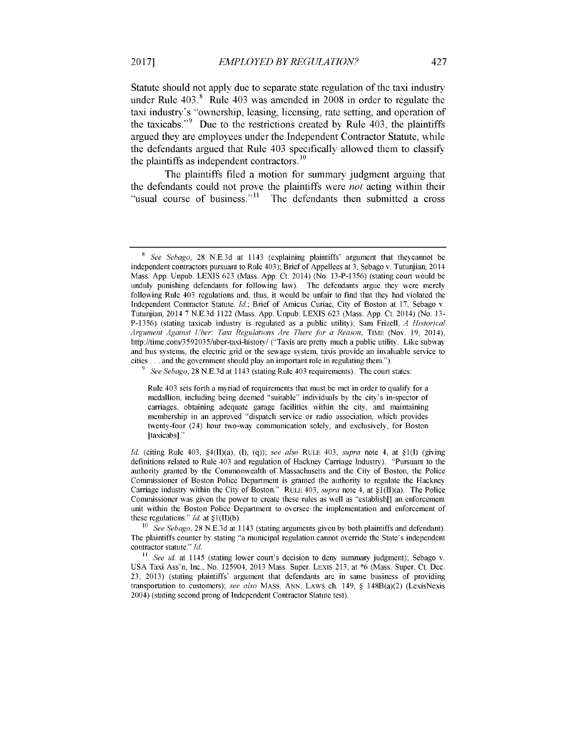Statute should not apply due to separate state regulation of the taxi industry under Rule 403." Rule 403 was amended in **2008** in order to regulate the taxi industry's "ownership, leasing, licensing, rate setting, and operation of the taxicabs."<sup>9</sup> Due to the restrictions created by Rule 403, the plaintiffs argued they are employees under the Independent Contractor Statute, while the defendants argued that Rule 403 specifically allowed them to classify the plaintiffs as independent contractors. **10**

The plaintiffs filed a motion for summary judgment arguing that the defendants could not prove the plaintiffs were *not* acting within their "usual course of business."<sup>11</sup> The defendants then submitted a cross

*9 See Sebago,* 28 N.E.3d at 1143 (stating Rule 403 requirements). The court states:

Rule 403 sets forth a myriad of requirements that must be met in order to qualify for a medallion, including being deemed "suitable" individuals by the city's in-spector of carriages, obtaining adequate garage facilities within the city, and maintaining membership in an approved "dispatch service or radio association, which provides twenty-four (24) hour two-way communication solely, and exclusively, for Boston [taxicabs]."

<sup>8</sup> *See Sebago,* 28 N.E.3d at 1143 (explaining plaintiffs' argument that theycannot be independent contractors pursuant to Rule 403); Brief of Appellees at 3, Sebago v. Tutunjian, 2014 Mass. App. Unpub. LEXIS 623 (Mass. App. Ct. 2014) (No. 13-P-1356) (stating court would be unduly punishing defendants for following law). The defendants argue they were merely following Rule 403 regulations and, thus, it would be unfair to find that they had violated the Independent Contractor Statute. *Id.;* Brief of Amicus Curiae, City of Boston at 17, Sebago v. Tutunjian, 2014 7 N.E.3d 1122 (Mass. App. Unpub. LEXIS 623 (Mass. App. Ct. 2014) (No. 13- P-1356) (stating taxicab industry is regulated as a public utility); Sam Frizell, *A Historical Argument Against Uber: Taxi Regulations Are There for a Reason,* TiME (Nov. 19, 2014), http://time.com/3592035/uber-taxi-history/ ("Taxis are pretty much a public utility. Like subway and bus systems, the electric grid or the sewage system, taxis provide an invaluable service to cities **...** and the government should play an important role in regulating them.").

*Id.* (citing Rule 403, §4(II)(a), (1), (q)); *see also* RULE 403, *supra* note 4, at §1(I) (giving definitions related to Rule 403 and regulation of Hackney Carriage Industry). "Pursuant to the authority granted by the Commonwealth of Massachusetts and the City of Boston, the Police Commissioner of Boston Police Department is granted the authority to regulate the Hackney Carriage industry within the City of Boston." RuLE 403, *supra* note 4, at §1(II)(a). The Police Commissioner was given the power to create these rules as well as "establish[] an enforcement unit within the Boston Police Department to oversee the implementation and enforcement of these regulations." *Id.* at §1(II)(b).

<sup>10</sup> *See Sebago,* 28 N.E.3d at 1143 (stating arguments given by both plaintiffs and defendant). The plaintiffs counter by stating "a municipal regulation cannot override the State's independent contractor statute." *Id.*

<sup>&</sup>lt;sup>11</sup> See id. at 1145 (stating lower court's decision to deny summary judgment); Sebago v. USA Taxi Ass'n, Inc., No. 125904, 2013 Mass. Super. LEXIS 213, at \*6 (Mass. Super. Ct. Dec. 23, 2013) (stating plaintiffs' argument that defendants are in same business of providing transportation to customers); *see also* MASS. ANN. LAWS ch. 149, § 148B(a)(2) (LexisNexis 2004) (stating second prong of Independent Contractor Statute test).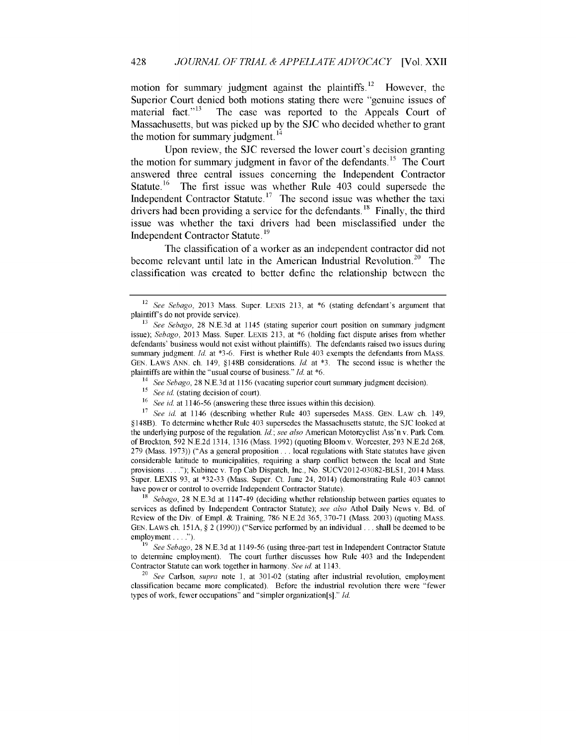motion for summary judgment against the plaintiffs.<sup>12</sup> However, the Superior Court denied both motions stating there were "genuine issues of material fact."<sup>13</sup> The case was reported to the Appeals Court of Massachusetts, but was picked up by the **SJC** who decided whether to grant the motion for summary judgment.  $14$ 

Upon review, the **SJC** reversed the lower court's decision granting the motion for summary judgment in favor of the defendants.<sup>15</sup> The Court answered three central issues concerning the Independent Contractor Statute.<sup>16</sup> The first issue was whether Rule 403 could supersede the Independent Contractor Statute. **17** The second issue was whether the taxi drivers had been providing a service for the defendants.<sup>18</sup> Finally, the third issue was whether the taxi drivers had been misclassified under the Independent Contractor Statute.19

The classification of a worker as an independent contractor did not become relevant until late in the American Industrial Revolution.<sup>20</sup> The classification was created to better define the relationship between the

<sup>14</sup>*See Sebago,* 28 N.E.3d at 1156 (vacating superior court summary judgment decision).

*18 Sebago,* 28 N.E.3d at 1147-49 (deciding whether relationship between parties equates to services as defined by Independent Contractor Statute); *see also* Athol Daily News v. Bd. of Review of the Div. of Empl. & Training, 786 N.E.2d 365, 370-71 (Mass. 2003) (quoting MASS. GEN. LAWS ch. **151A,** § 2 (1990)) ("Service performed by an individual **...** shall be deemed to be employment . . . . ").

<sup>12</sup>*See Sebago,* 2013 Mass. Super. LExIs 213, at \*6 (stating defendant's argument that plaintiff's do not provide service).

**<sup>13</sup>***See Sebago,* 28 N.E.3d at 1145 (stating superior court position on summary judgment issue); *Sebago,* 2013 Mass. Super. LExIs 213, at \*6 (holding fact dispute arises from whether defendants' business would not exist without plaintiffs). The defendants raised two issues during summary judgment. Id. at \*3-6. First is whether Rule 403 exempts the defendants from MASS. GEN. LAWS ANN. ch. 149, §148B considerations. Id. at **\*3.** The second issue is whether the plaintiffs are within the "usual course of business." Id. at \*6.

<sup>&</sup>lt;sup>15</sup> *See id.* (stating decision of court).

**<sup>16</sup>***See id.* at 1146-56 (answering these three issues within this decision).

**<sup>17</sup>***See* id. at 1146 (describing whether Rule 403 supersedes MASS. GEN. LAW ch. 149, *§* 148B). To determine whether Rule 403 supersedes the Massachusetts statute, the SJC looked at the underlying purpose of the regulation. *Id.; see also* American Motorcyclist Ass'n v. Park Com. of Brockton, 592 N.E.2d 1314, 1316 (Mass. 1992) (quoting Bloom v. Worcester, 293 N.E.2d 268, 279 (Mass. 1973)) ("As a general proposition... local regulations with State statutes have given considerable latitude to municipalities, requiring a sharp conflict between the local and State provisions **....");** Kubinec v. Top Cab Dispatch, Inc., No. SUCV2012-03082-BLS1, 2014 Mass. Super. LEXIS 93, at \*32-33 (Mass. Super. Ct. June 24, 2014) (demonstrating Rule 403 cannot have power or control to override Independent Contractor Statute).

**<sup>19</sup>** *See Sebago,* 28 N.E.3d at 1149-56 (using three-part test in Independent Contractor Statute to determine employment). The court further discusses how Rule 403 and the Independent Contractor Statute can work together in harmony. *See* id. at 1143.

<sup>&</sup>lt;sup>20</sup> See Carlson, *supra* note 1, at 301-02 (stating after industrial revolution, employment classification became more complicated). Before the industrial revolution there were "fewer types of work, fewer occupations" and "simpler organization[s]." Id.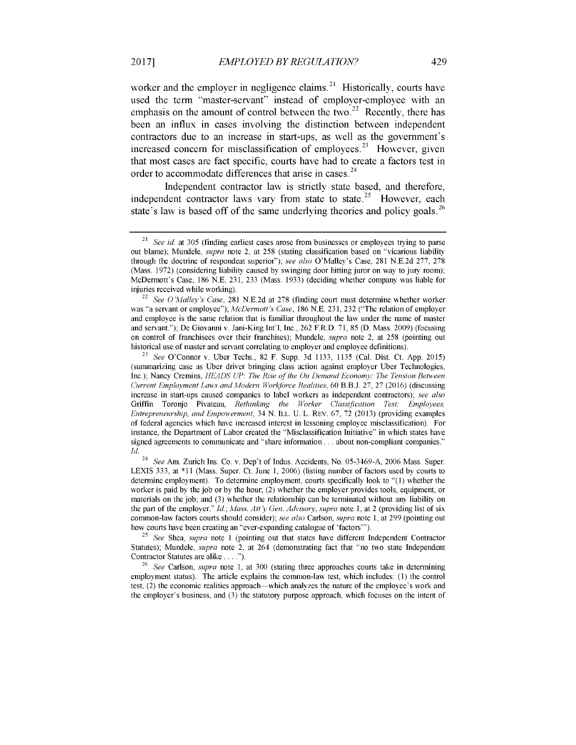worker and the employer in negligence claims. $^{21}$  Historically, courts have used the term "master-servant" instead of employer-employee with an emphasis on the amount of control between the two.<sup>22</sup> Recently, there has been an influx in cases involving the distinction between independent contractors due to an increase in start-ups, as well as the government's increased concern for misclassification of employees.<sup>23</sup> However, given that most cases are fact specific, courts have had to create a factors test in order to accommodate differences that arise in cases.<sup>24</sup>

Independent contractor law is strictly state based, and therefore, independent contractor laws vary from state to state **.25** However, each state's law is based off of the same underlying theories and policy goals.<sup>26</sup>

See Am. Zurich Ins. Co. v. Dep't of Indus. Accidents, No. 05-3469-A, 2006 Mass. Super. LEXIS 333, at \*11 (Mass. Super. Ct. June 1, 2006) (listing number of factors used by courts to determine employment). To determine employment, courts specifically look to "(1) whether the worker is paid by the job or by the hour; (2) whether the employer provides tools, equipment, or materials on the job; and (3) whether the relationship can be terminated without any liability on the part of the employer." *Id.; Mass. Att* y *Gen. Advisory, supra* note 1, at 2 (providing list of six common-law factors courts should consider); *see also* Carlson, *supra* note 1, at 299 (pointing out how courts have been creating an "ever-expanding catalogue of 'factors"').

<sup>25</sup>*See* Shea, *supra* note 1 (pointing out that states have different Independent Contractor Statutes); Mundele, *supra* note 2, at 264 (demonstrating fact that "no two state Independent Contractor Statutes are alike **....").**

<sup>26</sup>*See* Carlson, *supra* note 1, at 300 (stating three approaches courts take in determining employment status). The article explains the common-law test, which includes: **(1)** the control test, (2) the economic realities approach—which analyzes the nature of the employee's work and the employer's business, and (3) the statutory purpose approach, which focuses on the intent of

<sup>&</sup>lt;sup>21</sup> See id. at 305 (finding earliest cases arose from businesses or employees trying to parse out blame); Mundele, *supra* note 2, at 258 (stating classification based on "vicarious liability through the doctrine of respondeat superior"); *see also* O'Malley's Case, 281 N.E.2d 277, 278 (Mass. 1972) (considering liability caused by swinging door hitting juror on way to jury room); McDermott's Case, 186 N.E. 231, 233 (Mass. 1933) (deciding whether company was liable for injuries received while working).

<sup>22</sup>*See O'Malley's Case,* 281 N.E.2d at 278 (finding court must determine whether worker was "a servant or employee"); *McDermott's Case,* 186 N.E. 231, 232 ("The relation of employer and employee is the same relation that is familiar throughout the law under the name of master and servant."); De Giovanni v. Jani-King Int'l, Inc., 262 F.R.D. 71, 85 (D. Mass. 2009) (focusing on control of franchisees over their franchises); Mundele, *supra* note 2, at 258 (pointing out historical use of master and servant correlating to employer and employee definitions).

<sup>23</sup>*See* O'Connor v. Uber Techs., 82 F. Supp. 3d 1133, 1135 (Cal. Dist. Ct. App. 2015) (summarizing case as Uber driver bringing class action against employer Uber Technologies, Inc.); Nancy Cremins, *HEADS UP: The Rise of the On Demand Economy: The Tension Between Current Employment Laws and Modern Workforce Realities,* 60 B.B.J. 27, 27 (2016) (discussing increase in start-ups caused companies to label workers as independent contractors); *see also* Griffin Toronjo Pivateau, *Rethinking the Worker Classification Test: Employees, Entrepreneurship, and Empowerment,* 34 N. ILL. U. L. REv. 67, 72 (2013) (providing examples of federal agencies which have increased interest in lessoning employee misclassification). For instance, the Department of Labor created the "Misclassification Initiative" in which states have signed agreements to communicate and "share information... about non-compliant companies." *Id.*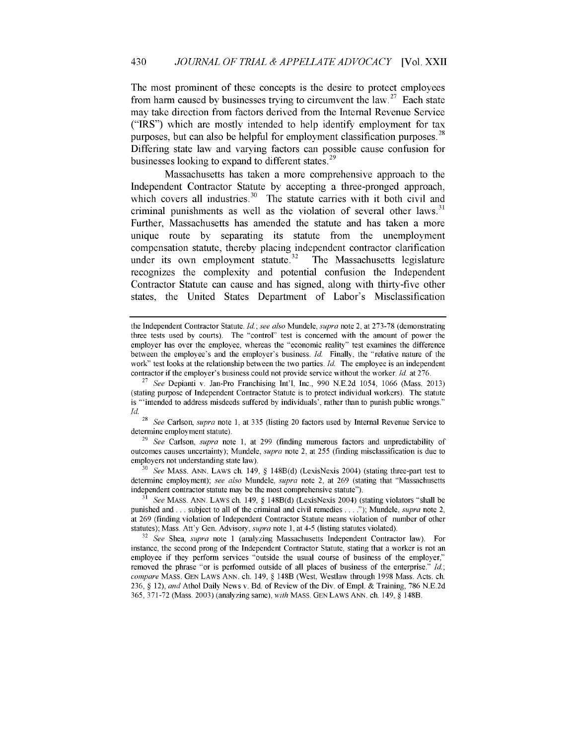The most prominent of these concepts is the desire to protect employees from harm caused by businesses trying to circumvent the law.<sup>27</sup> Each state may take direction from factors derived from the Internal Revenue Service ("IRS") which are mostly intended to help identify employment for tax purposes, but can also be helpful for employment classification purposes.  $^{28}$ Differing state law and varying factors can possible cause confusion for businesses looking to expand to different states.<sup>29</sup>

Massachusetts has taken a more comprehensive approach to the Independent Contractor Statute by accepting a three-pronged approach, which covers all industries. $30$  The statute carries with it both civil and criminal punishments as well as the violation of several other laws. $31$ Further, Massachusetts has amended the statute and has taken a more unique route **by** separating its statute from the unemployment compensation statute, thereby placing independent contractor clarification under its own employment statute.<sup>32</sup> The Massachusetts legislature recognizes the complexity and potential confusion the Independent Contractor Statute can cause and has signed, along with thirty-five other states, the United States Department of Labor's Misclassification

<sup>28</sup>*See* Carlson, *supra* note 1, at 335 (listing 20 factors used by Internal Revenue Service to determine employment statute).

<sup>29</sup>*See* Carlson, *supra* note 1, at 299 (finding numerous factors and unpredictability of outcomes causes uncertainty); Mundele, *supra* note 2, at 255 (finding misclassification is due to employers not understanding state law).

<sup>30</sup>*See* MASS. ANN. LAWS ch. 149, § 148B(d) (LexisNexis 2004) (stating three-part test to determine employment); *see also* Mundele, *supra* note 2, at 269 (stating that "Massachusetts independent contractor statute may be the most comprehensive statute").

<sup>31</sup>*See* MASS. ANN. LAWS ch. 149, § 148B(d) (LexisNexis 2004) (stating violators "shall be punished and **...** subject to all of the criminal and civil remedies **....** ); Mundele, *supra* note 2, at 269 (finding violation of Independent Contractor Statute means violation of number of other statutes); Mass. Att'y Gen. Advisory, *supra* note 1, at 4-5 (listing statutes violated).

<sup>32</sup>*See* Shea, *supra* note 1 (analyzing Massachusetts Independent Contractor law). For instance, the second prong of the Independent Contractor Statute, stating that a worker is not an employee if they perform services "outside the usual course of business of the employer," removed the phrase "or is performed outside of all places of business of the enterprise." *Id; compare* MASS. **GEN** LAWS ANN. ch. 149, § 148B (West, Westlaw through **1998** Mass. Acts. ch. 236, § 12), *and* Athol Daily News v. Bd. of Review of the Div. of Empl. & Training, 786 N.E.2d 365, 371-72 (Mass. 2003) (analyzing same), *with* MASS. GEN LAWS ANN. ch. 149, § 148B.

the Independent Contractor Statute. *Id; see also* Mundele, *supra* note 2, at 273-78 (demonstrating three tests used by courts). The "control" test is concerned with the amount of power the employer has over the employee, whereas the "economic reality" test examines the difference between the employee's and the employer's business. Id. Finally, the "relative nature of the work" test looks at the relationship between the two parties. Id. The employee is an independent contractor if the employer's business could not provide service without the worker. Id. at 276.

<sup>27</sup>*See* Depianti v. Jan-Pro Franchising Int'l, Inc., 990 N.E.2d 1054, 1066 (Mass. 2013) (stating purpose of Independent Contractor Statute is to protect individual workers). The statute is "'intended to address misdeeds suffered by individuals', rather than to punish public wrongs."  $\frac{Id.}{28}$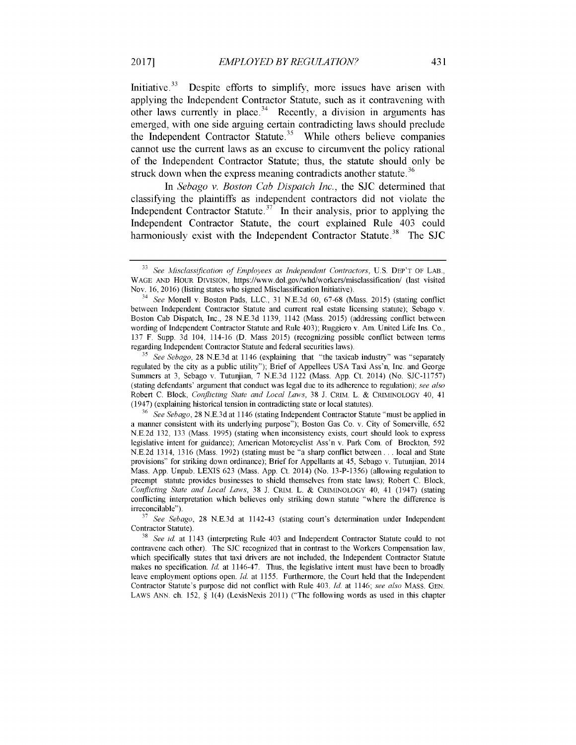Initiative. $33$  Despite efforts to simplify, more issues have arisen with applying the Independent Contractor Statute, such as it contravening with other laws currently in place.<sup>34</sup> Recently, a division in arguments has emerged, with one side arguing certain contradicting laws should preclude the Independent Contractor Statute.<sup>35</sup> While others believe companies cannot use the current laws as an excuse to circumvent the policy rational of the Independent Contractor Statute; thus, the statute should only be struck down when the express meaning contradicts another statute.<sup>36</sup>

In *Sebago v. Boston Cab Dispatch Inc.,* the **SIC** determined that classifying the plaintiffs as independent contractors **did** not violate the Independent Contractor Statute.<sup>37</sup> In their analysis, prior to applying the Independent Contractor Statute, the court explained Rule 403 could harmoniously exist with the Independent Contractor Statute **.38** The **SIC**

**<sup>35</sup>***See Sebago,* 28 N.E.3d at 1146 (explaining that "the taxicab industry" was "separately regulated by the city as a public utility"); Brief of Appellees USA Taxi Ass'n, Inc. and George Summers at 3, Sebago v. Tutunjian, 7 N.E.3d 1122 (Mass. App. Ct. 2014) (No. SJC-11757) (stating defendants' argument that conduct was legal due to its adherence to regulation); *see also* Robert C. Block, *Conflicting State and Local Laws,* 38 J. CRIM. L. & CRIMINOLOGY 40, 41 (1947) (explaining historical tension in contradicting state or local statutes).

**<sup>33</sup>***See Misclassification of Employees as Independent Contractors,* U.S. DEP'T OF LAB., WAGE AND HOUR DIVISION, https://www.dol.gov/whd/workers/misclassification/ (last visited Nov. 16, 2016) (listing states who signed Misclassification Initiative).

<sup>34</sup>*See* Monell v. Boston Pads, LLC., 31 N.E.3d 60, 67-68 (Mass. 2015) (stating conflict between Independent Contractor Statute and current real estate licensing statute); Sebago v. Boston Cab Dispatch Inc., 28 N.E.3d 1139, 1142 (Mass. 2015) (addressing conflict between wording of Independent Contractor Statute and Rule 403); Ruggiero v. Am. United Life Ins. Co., 137 F. Supp. 3d 104, 114-16 (D. Mass 2015) (recognizing possible conflict between terms regarding Independent Contractor Statute and federal securities laws).

<sup>36</sup>*See Sebago,* 28 N.E.3d at 1146 (stating Independent Contractor Statute "must be applied in a manner consistent with its underlying purpose"); Boston Gas Co. v. City of Somerville, 652 N.E.2d 132, 133 (Mass. 1995) (stating when inconsistency exists, court should look to express legislative intent for guidance); American Motorcyclist Ass'n v. Park Com. of Brockton, 592 N.E.2d 1314, 1316 (Mass. 1992) (stating must be "a sharp conflict between.., local and State provisions" for striking down ordinance); Brief for Appellants at 45, Sebago v. Tutunjian, 2014 Mass. App. Unpub. LEXIS 623 (Mass. App. Ct. 2014) (No. 13-P-1356) (allowing regulation to preempt statute provides businesses to shield themselves from state laws); Robert C. Block, *Conflicting State and Local Laws,* 38 J. CRIM. L. & CRIMINOLOGY 40, 41 (1947) (stating conflicting interpretation which believes only striking down statute "where the difference is irreconcilable").

**<sup>37</sup>***See Sebago,* 28 N.E.3d at 1142-43 (stating court's determination under Independent Contractor Statute).

<sup>38</sup>*See id.* at 1143 (interpreting Rule 403 and Independent Contractor Statute could to not contravene each other). The SJC recognized that in contrast to the Workers Compensation law, which specifically states that taxi drivers are not included, the Independent Contractor Statute makes no specification. *Id.* at 1146-47. Thus, the legislative intent must have been to broadly leave employment options open. *Id.* at 1155. Furthermore, the Court held that the Independent Contractor Statute's purpose did not conflict with Rule 403. *Id.* at 1146; *see also* MASS. GEN. LAWS ANN. ch. 152,  $\S$  1(4) (LexisNexis 2011) ("The following words as used in this chapter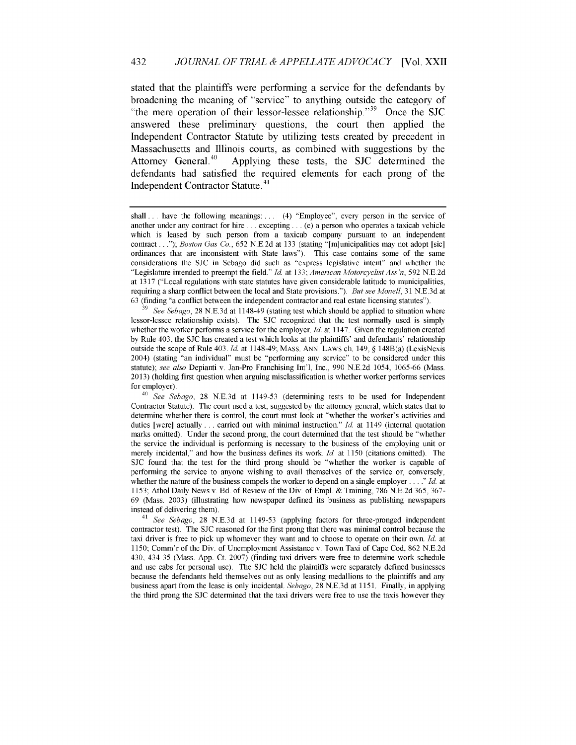stated that the plaintiffs were performing a service for the defendants by broadening the meaning of "service" to anything outside the category of "the mere operation of their lessor-lessee relationship."<sup>39</sup> Once the SJC answered these preliminary questions, the court then applied the Independent Contractor Statute by utilizing tests created by precedent in Massachusetts and Illinois courts, as combined with suggestions by the Attorney General.<sup>40</sup> Applying these tests, the SJC determined the defendants had satisfied the required elements for each prong of the Independent Contractor Statute. 41

**<sup>39</sup>***See Sebago,* 28 N.E.3d at 1148-49 (stating test which should be applied to situation where lessor-lessee relationship exists). The SJC recognized that the test normally used is simply whether the worker performs a service for the employer. *Id.* at 1147. Given the regulation created by Rule 403, the SJC has created a test which looks at the plaintiffs' and defendants' relationship outside the scope of Rule 403. *Id.* at 1148-49; MASS. ANN. LAWS ch. 149, § 148B(a) (LexisNexis 2004) (stating "an individual" must be "performing any service" to be considered under this statute); *see also* Depianti v. Jan-Pro Franchising Int'l, Inc., 990 N.E.2d 1054, 1065-66 (Mass. 2013) (holding first question when arguing misclassification is whether worker performs services for employer).

<sup>40</sup>*See Sebago,* 28 N.E.3d at 1149-53 (determining tests to be used for Independent Contractor Statute). The court used a test, suggested by the attorney general, which states that to determine whether there is control, the court must look at "whether the worker's activities and duties [were] actually... carried out with minimal instruction." *Id.* at 1149 (internal quotation marks omitted). Under the second prong, the court determined that the test should be "whether the service the individual is performing is necessary to the business of the employing unit or merely incidental," and how the business defines its work. *Id. at* 1150 (citations omitted). The SJC found that the test for the third prong should be "whether the worker is capable of performing the service to anyone wishing to avail themselves of the service or, conversely, whether the nature of the business compels the worker to depend on a single employer *.... Id.* at 1153; Athol Daily News v. Bd. of Review of the Div. of Empl. & Training, 786 N.E.2d 365, 367- 69 (Mass. 2003) (illustrating how newspaper defined its business as publishing newspapers instead of delivering them).

<sup>41</sup>*See Sebago,* 28 N.E.3d at 1149-53 (applying factors for three-pronged independent contractor test). The SJC reasoned for the first prong that there was minimal control because the taxi driver is free to pick up whomever they want and to choose to operate on their own. *Id.* at 1150; Comm'r of the Div. of Unemployment Assistance v. Town Taxi of Cape Cod, 862 N.E.2d 430, 434-35 (Mass. App. Ct. 2007) (finding taxi drivers were free to determine work schedule and use cabs for personal use). The SJC held the plaintiffs were separately defined businesses because the defendants held themselves out as only leasing medallions to the plaintiffs and any business apart from the lease is only incidental. *Sebago,* 28 N.E.3d at 1151. Finally, in applying the third prong the SJC determined that the taxi drivers were free to use the taxis however they

shall... have the following meanings: ... (4) "Employee", every person in the service of another under any contract for hire... excepting... (e) a person who operates a taxicab vehicle which is leased by such person from a taxicab company pursuant to an independent contract *... "); Boston Gas Co.,* 652 N.E.2d at 133 (stating "[m]unicipalities may not adopt [sic] ordinances that are inconsistent with State laws"). This case contains some of the same considerations the SJC in Sebago did such as "express legislative intent" and whether the "Legislature intended to preempt the field." *Id.* at 133; *American Motorcyclist Ass 'n,* 592 N.E.2d at 1317 ("Local regulations with state statutes have given considerable latitude to municipalities, requiring a sharp conflict between the local and State provisions."). *But see Monell,* 31 N.E.3d at 63 (finding "a conflict between the independent contractor and real estate licensing statutes").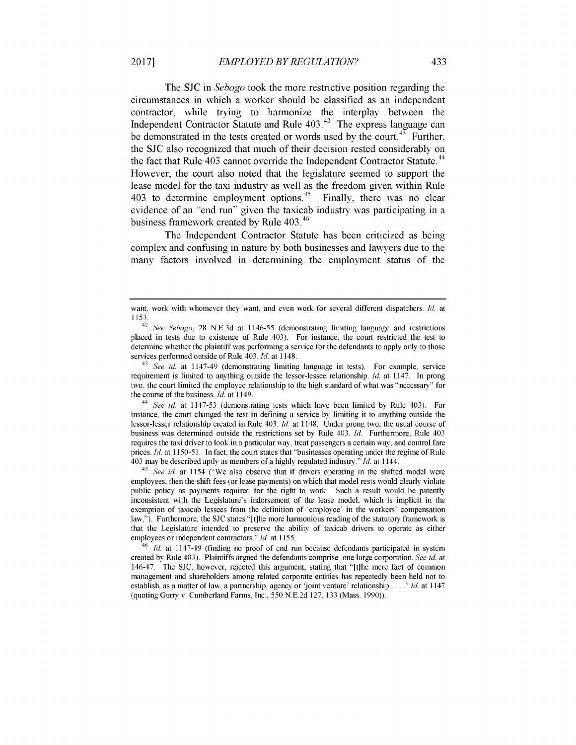The **SIC** in *Sebago* took the more restrictive position regarding the circumstances in which a worker should be classified as an independent contractor, while trying to harmonize the interplay between the Independent Contractor Statute and Rule 403.<sup>42</sup> The express language can be demonstrated in the tests created or words used by the court.<sup>43</sup> Further, the **SIC** also recognized that much of their decision rested considerably on the fact that Rule 403 cannot override the Independent Contractor Statute.<sup>44</sup> However, the court also noted that the legislature seemed to support the lease model for the taxi industry as well as the freedom given within Rule 403 to determine employment options.<sup>45</sup> Finally, there was no clear evidence of an "end run" given the taxicab industry was participating in a business framework created by Rule 403.<sup>46</sup>

The Independent Contractor Statute has been criticized as being complex and confusing in nature by both businesses and lawyers due to the many factors involved in determining the employment status of the

<sup>44</sup>*See id.* at 1147-53 (demonstrating tests which have been limited by Rule 403). For instance, the court changed the test in defining a service by limiting it to anything outside the lessor-lesser relationship created in Rule 403. *Id.* at 1148. Under prong two, the usual course of business was determined outside the restrictions set by Rule 403. *Id.* Furthermore, Rule 403 requires the taxi driver to look in a particular way, treat passengers a certain way, and control fare prices. Id. at 1150-51. In fact, the court states that "businesses operating under the regime of Rule 403 may be described aptly as members of a highly regulated industry." *Id.* at 1144.

<sup>45</sup> See id. at 1154 ("We also observe that if drivers operating in the shifted model were employees, then the shift fees (or lease payments) on which that model rests would clearly violate public policy as payments required for the right to work. Such a result would be patently inconsistent with the Legislature's indorsement of the lease model, which is implicit in the exemption of taxicab lessees from the definition of 'employee' in the workers' compensation law."). Furthermore, the SJC states "[t]he more harmonious reading of the statutory framework is that the Legislature intended to preserve the ability of taxicab drivers to operate as either employees or independent contractors." *Id.* at 1155.

*Id.* at 1147-49 (finding no proof of end run because defendants participated in system created by Rule 403). Plaintiffs argued the defendants comprise one large corporation. *See id.* at 146-47. The SJC, however, rejected this argument, stating that "[t]he mere fact of common management and shareholders among related corporate entities has repeatedly been held not to establish, as a matter of law, a partnership, agency or 'joint venture' relationship *.... Id.* at 1147 (quoting Gurry v. Cumberland Farms, Inc., 550 N.E.2d 127, 133 (Mass. 1990)).

want, work with whomever they want, and even work for several different dispatchers. *Id.* at 1153.

<sup>42</sup>*See Sebago,* 28 N.E.3d at 1146-55 (demonstrating limiting language and restrictions placed in tests due to existence of Rule 403). For instance, the court restricted the test to determine whether the plaintiff was performing a service for the defendants to apply only to those services performed outside of Rule 403. *Id.* at 1148.

<sup>&</sup>lt;sup>43</sup> See id. at 1147-49 (demonstrating limiting language in tests). For example, service requirement is limited to anything outside the lessor-lessee relationship. *Id.* at 1147. In prong two, the court limited the employee relationship to the high standard of what was "necessary" for the course of the business. *Id.* at 1149.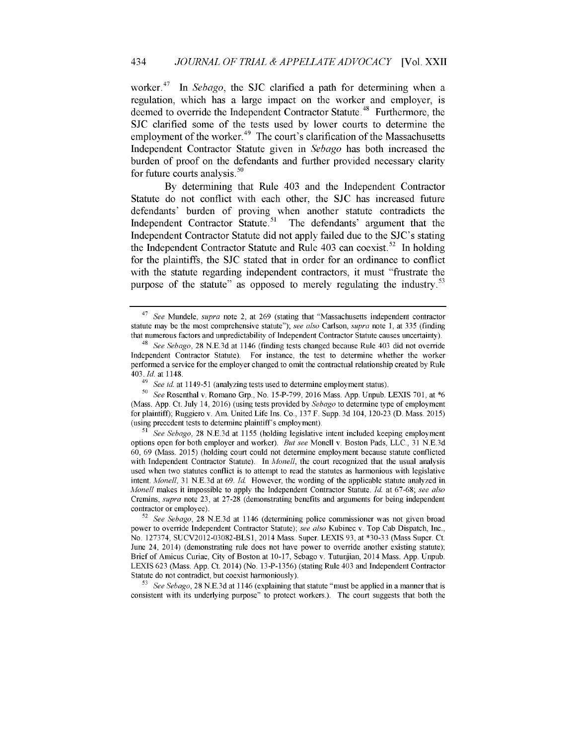worker.<sup>47</sup> In *Sebago*, the SJC clarified a path for determining when a regulation, which has a large impact on the worker and employer, is deemed to override the Independent Contractor Statute.<sup>48</sup> Furthermore, the **SIC** clarified some of the tests used by lower courts to determine the employment of the worker.  $49$  The court's clarification of the Massachusetts Independent Contractor Statute given in *Sebago* has both increased the burden of proof on the defendants and further provided necessary clarity for future courts analysis. $50$ 

By determining that Rule 403 and the Independent Contractor Statute do not conflict with each other, the **SIC** has increased future defendants' burden of proving when another statute contradicts the Independent Contractor Statute.<sup>51</sup> The defendants' argument that the Independent Contractor Statute did not apply failed due to the SJC's stating the Independent Contractor Statute and Rule 403 can coexist.<sup>52</sup> In holding for the plaintiffs, the **SIC** stated that in order for an ordinance to conflict with the statute regarding independent contractors, it must "frustrate the purpose of the statute" as opposed to merely regulating the industry.<sup>53</sup>

*<sup>53</sup>See Sebago,* 28 N.E.3d at 1146 (explaining that statute "must be applied in a manner that is consistent with its underlying purpose" to protect workers.). The court suggests that both the

<sup>47</sup>*See* Mundele, *supra* note 2, at 269 (stating that "Massachusetts independent contractor statute may be the most comprehensive statute"); *see also* Carlson, *supra* note 1, at 335 (finding that numerous factors and unpredictability of Independent Contractor Statute causes uncertainty).

<sup>48</sup>*See Sebago,* 28 N.E.3d at 1146 (finding tests changed because Rule 403 did not override Independent Contractor Statute). For instance, the test to determine whether the worker performed a service for the employer changed to omit the contractual relationship created by Rule 403. *Id.* at 1148.

<sup>49</sup>*See id.* at 1149-51 (analyzing tests used to determine employment status).

**<sup>50</sup>***See* Rosenthal v. Romano Grp., No. 15-P-799, 2016 Mass. App. Unpub. LEXIS 701, at \*6 (Mass. App. Ct. July 14, 2016) (using tests provided by *Sebago* to determine type of employment for plaintiff); Ruggiero v. Am. United Life Ins. Co., 137 F. Supp. 3d 104, 120-23 (D. Mass. 2015) (using precedent tests to determine plaintiff's employment).

*<sup>51</sup>See Sebago,* 28 N.E.3d at 1155 (holding legislative intent included keeping employment options open for both employer and worker). *But see* Monell v. Boston Pads, LLC., 31 N.E.3d 60, 69 (Mass. 2015) (holding court could not determine employment because statute conflicted with Independent Contractor Statute). In *Monell,* the court recognized that the usual analysis used when two statutes conflict is to attempt to read the statutes as harmonious with legislative intent. *Monell,* 31 N.E.3d at 69. *Id.* However, the wording of the applicable statute analyzed in *Monell* makes it impossible to apply the Independent Contractor Statute. *Id.* at 67-68; *see also* Cremins, *supra* note 23, at 27-28 (demonstrating benefits and arguments for being independent contractor or employee).

<sup>52</sup>*See Sebago,* 28 N.E.3d at 1146 (determining police commissioner was not given broad power to override Independent Contractor Statute); *see also* Kubinec v. Top Cab Dispatch, Inc., No. 127374, SUCV2012-03082-BLS1, 2014 Mass. Super. LEXIS 93, at \*30-33 (Mass Super. Ct. June 24, 2014) (demonstrating rule does not have power to override another existing statute); Brief of Amicus Curiae, City of Boston at 10-17, Sebago v. Tutunjian, 2014 Mass. App. Unpub. LEXIS 623 (Mass. App. Ct. 2014) (No. 13-P-1356) (stating Rule 403 and Independent Contractor Statute do not contradict, but coexist harmoniously).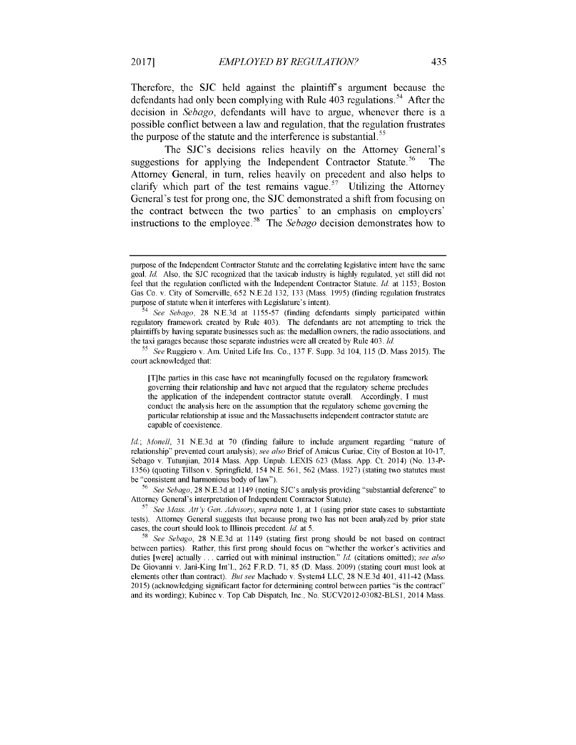Therefore, the **SIC** held against the plaintiffs argument because the defendants had only been complying with Rule  $403$  regulations.<sup>54</sup> After the decision in *Sebago,* defendants will have to argue, whenever there is a possible conflict between a law and regulation, that the regulation frustrates the purpose of the statute and the interference is substantial.<sup>55</sup>

The SJC's decisions relies heavily on the Attorney General's suggestions for applying the Independent Contractor Statute.<sup>56</sup> The Attorney General, in turn, relies heavily on precedent and also helps to clarify which part of the test remains vague.<sup>57</sup> Utilizing the Attorney General's test for prong one, the **SIC** demonstrated a shift from focusing on the contract between the two parties' to an emphasis on employers' instructions to the employee.<sup>58</sup> The *Sebago* decision demonstrates how to

[T]he parties in this case have not meaningfully focused on the regulatory framework governing their relationship and have not argued that the regulatory scheme precludes the application of the independent contractor statute overall. Accordingly, I must conduct the analysis here on the assumption that the regulatory scheme governing the particular relationship at issue and the Massachusetts independent contractor statute are capable of coexistence.

*Id.; Monell,* 31 N.E.3d at 70 (finding failure to include argument regarding "nature of relationship" prevented court analysis); *see also* Brief of Amicus Curiae, City of Boston at 10-17, Sebago v. Tutunjian, 2014 Mass. App. Unpub. LEXIS 623 (Mass. App. Ct. 2014) (No. 13-P-1356) (quoting Tillsonv. Springfield, 154 N.E. 561, 562 (Mass. 1927) (stating two statutes must be "consistent and harmonious body of law").

<sup>56</sup>*See Sebago,* 28 N.E.3d at 1149 (noting SJC's analysis providing "substantial deference" to Attorney General's interpretation of Independent Contractor Statute).

*<sup>57</sup>See Mass. Att'y Gen. Advisory, supra* note 1, at 1 (using prior state cases to substantiate tests). Attorney General suggests that because prong two has not been analyzed by prior state cases, the court should look to Illinois precedent. *Id.* at 5.

<sup>58</sup>*See Sebago,* 28 N.E.3d at 1149 (stating first prong should be not based on contract between parties). Rather, this first prong should focus on "whether the worker's activities and duties [were] actually **...** carried out with minimal instruction." *Id.* (citations omitted); *see also* De Giovanni v. Jani-King Int'l., 262 F.R.D. 71, 85 (D. Mass. 2009) (stating court must look at elements other than contract). *But see* Machado v. System4 LLC, 28 N.E.3d 401, 411-42 (Mass. 2015) (acknowledging significant factor for determining control between parties "is the contract" and its wording); Kubinec v. Top Cab Dispatch, Inc., No. SUCV2012-03082-BLS1, 2014 Mass.

purpose of the Independent Contractor Statute and the correlating legislative intent have the same goal. *Id.* Also, the SJC recognized that the taxicab industry is highly regulated, yet still did not feel that the regulation conflicted with the Independent Contractor Statute. *Id.* at 1153; Boston Gas Co. v. City of Somerville, 652 N.E.2d 132, 133 (Mass. 1995) (finding regulation frustrates purpose of statute when it interferes with Legislature's intent).

<sup>54</sup>*See Sebago,* 28 N.E.3d at 1155-57 (finding defendants simply participated within regulatory framework created by Rule 403). The defendants are not attempting to trick the plaintiffs by having separate businesses such as: the medallion owners, the radio associations, and the taxi garages because those separate industries were all created by Rule 403. *Id.*

*<sup>55</sup>See* Ruggiero v. Am. United Life Ins. Co., 137 F. Supp. 3d 104, 115 (D. Mass 2015). The court acknowledged that: